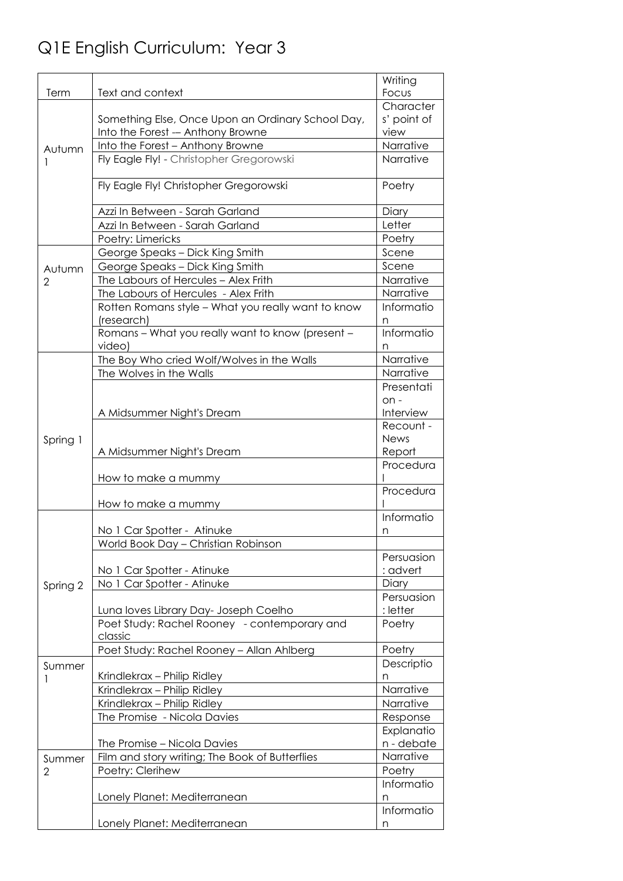## Q1E English Curriculum: Year 3

|                |                                                            | Writing         |
|----------------|------------------------------------------------------------|-----------------|
| Term           | Text and context                                           | Focus           |
|                |                                                            | Character       |
|                | Something Else, Once Upon an Ordinary School Day,          | s' point of     |
|                | Into the Forest - Anthony Browne                           | view            |
| Autumn         | Into the Forest - Anthony Browne                           | Narrative       |
|                | Fly Eagle Fly! - Christopher Gregorowski                   | Narrative       |
|                | Fly Eagle Fly! Christopher Gregorowski                     | Poetry          |
|                | Azzi In Between - Sarah Garland                            | Diary           |
|                | Azzi In Between - Sarah Garland                            | Letter          |
|                | Poetry: Limericks                                          | Poetry          |
|                | George Speaks - Dick King Smith                            | Scene           |
| Autumn         | George Speaks - Dick King Smith                            | Scene           |
| 2              | The Labours of Hercules - Alex Frith                       | Narrative       |
|                | The Labours of Hercules - Alex Frith                       | Narrative       |
|                | Rotten Romans style - What you really want to know         | Informatio      |
|                | (research)                                                 | n               |
|                | Romans - What you really want to know (present -<br>video) | Informatio<br>n |
|                | The Boy Who cried Wolf/Wolves in the Walls                 | Narrative       |
|                | The Wolves in the Walls                                    | Narrative       |
|                |                                                            | Presentati      |
|                |                                                            | $on -$          |
|                | A Midsummer Night's Dream                                  | Interview       |
|                |                                                            | Recount -       |
| Spring 1       |                                                            | <b>News</b>     |
|                | A Midsummer Night's Dream                                  | Report          |
|                | How to make a mummy                                        | Procedura       |
|                | How to make a mummy                                        | Procedura       |
|                |                                                            | Informatio      |
|                | No 1 Car Spotter - Atinuke                                 | n               |
|                | World Book Day - Christian Robinson                        |                 |
|                |                                                            | Persuasion      |
|                | No 1 Car Spotter - Atinuke                                 | : advert        |
| Spring 2       | No 1 Car Spotter - Atinuke                                 | Diary           |
|                |                                                            | Persuasion      |
|                | Luna loves Library Day- Joseph Coelho                      | : letter        |
|                | Poet Study: Rachel Rooney - contemporary and               | Poetry          |
|                | classic                                                    |                 |
|                | Poet Study: Rachel Rooney - Allan Ahlberg                  | Poetry          |
| Summer         |                                                            | Descriptio      |
|                | Krindlekrax - Philip Ridley                                | n<br>Narrative  |
|                | Krindlekrax - Philip Ridley<br>Krindlekrax - Philip Ridley | Narrative       |
|                | The Promise - Nicola Davies                                | Response        |
|                |                                                            | Explanatio      |
|                | The Promise - Nicola Davies                                | n - debate      |
| Summer         | Film and story writing; The Book of Butterflies            | Narrative       |
| $\overline{2}$ | Poetry: Clerihew                                           | Poetry          |
|                |                                                            | Informatio      |
|                | Lonely Planet: Mediterranean                               | n               |
|                |                                                            | Informatio      |
|                | Lonely Planet: Mediterranean                               | n               |